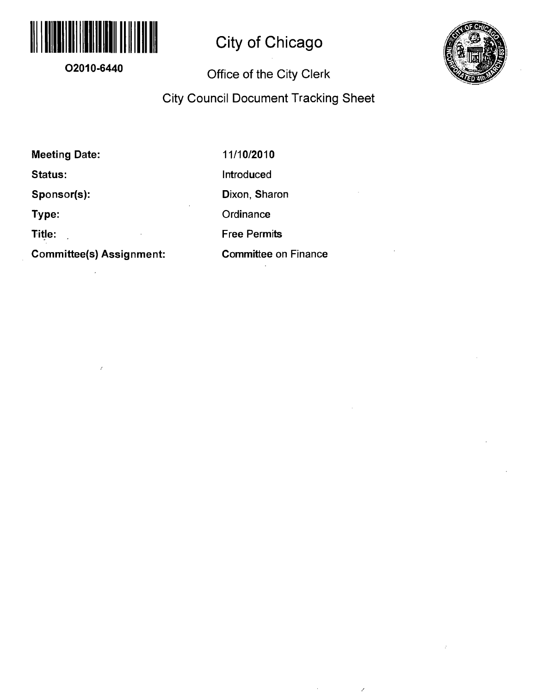

# **City of Chicago**

### **02010-6440**

### **Office of the City Clerk**



## **City Council Document Tracking Sheet**

**Meeting Date:** 

**Status:** 

**Sponsor(s):** 

 $\mathbb{Z}$ 

**Type:** 

**Title:** 

**Committee(s) Assignment:** 

11/10/2010 Introduced Dixon, Sharon **Ordinance** Free Permits Committee on Finance